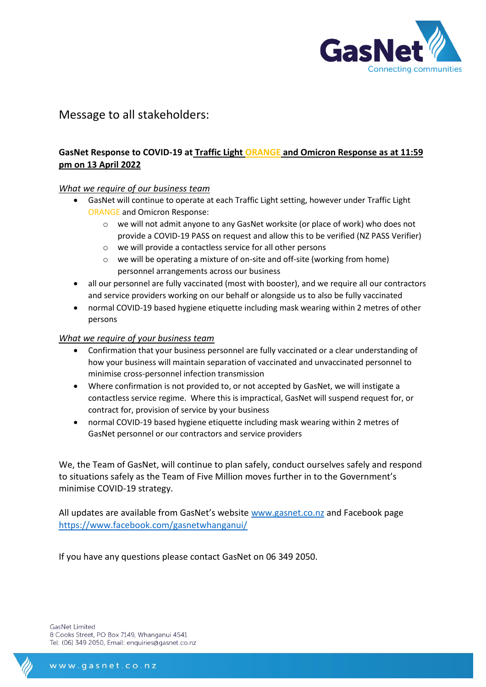

# Message to all stakeholders:

## **GasNet Response to COVID-19 at Traffic Light ORANGE and Omicron Response as at 11:59 pm on 13 April 2022**

#### *What we require of our business team*

- GasNet will continue to operate at each Traffic Light setting, however under Traffic Light ORANGE and Omicron Response:
	- o we will not admit anyone to any GasNet worksite (or place of work) who does not provide a COVID-19 PASS on request and allow this to be verified (NZ PASS Verifier)
	- o we will provide a contactless service for all other persons
	- o we will be operating a mixture of on-site and off-site (working from home) personnel arrangements across our business
- all our personnel are fully vaccinated (most with booster), and we require all our contractors and service providers working on our behalf or alongside us to also be fully vaccinated
- normal COVID-19 based hygiene etiquette including mask wearing within 2 metres of other persons

#### *What we require of your business team*

- Confirmation that your business personnel are fully vaccinated or a clear understanding of how your business will maintain separation of vaccinated and unvaccinated personnel to minimise cross-personnel infection transmission
- Where confirmation is not provided to, or not accepted by GasNet, we will instigate a contactless service regime. Where this is impractical, GasNet will suspend request for, or contract for, provision of service by your business
- normal COVID-19 based hygiene etiquette including mask wearing within 2 metres of GasNet personnel or our contractors and service providers

We, the Team of GasNet, will continue to plan safely, conduct ourselves safely and respond to situations safely as the Team of Five Million moves further in to the Government's minimise COVID-19 strategy.

All updates are available from GasNet's website [www.gasnet.co.nz](http://www.gasnet.co.nz/) and Facebook page <https://www.facebook.com/gasnetwhanganui/>

If you have any questions please contact GasNet on 06 349 2050.